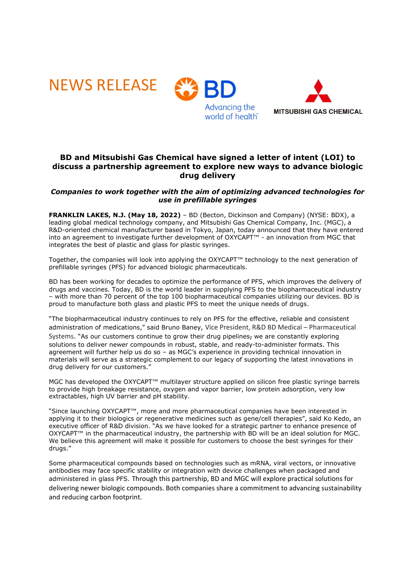

# **BD and Mitsubishi Gas Chemical have signed a letter of intent (LOI) to discuss a partnership agreement to explore new ways to advance biologic drug delivery**

## *Companies to work together with the aim of optimizing advanced technologies for use in prefillable syringes*

**FRANKLIN LAKES, N.J. (May 18, 2022)** – BD (Becton, Dickinson and Company) (NYSE: BDX), a leading global medical technology company, and Mitsubishi Gas Chemical Company, Inc. (MGC), a R&D-oriented chemical manufacturer based in Tokyo, Japan, today announced that they have entered into an agreement to investigate further development of OXYCAPT™ - an innovation from MGC that integrates the best of plastic and glass for plastic syringes.

Together, the companies will look into applying the OXYCAPT™ technology to the next generation of prefillable syringes (PFS) for advanced biologic pharmaceuticals.

BD has been working for decades to optimize the performance of PFS, which improves the delivery of drugs and vaccines. Today, BD is the world leader in supplying PFS to the biopharmaceutical industry – with more than 70 percent of the top 100 biopharmaceutical companies utilizing our devices. BD is proud to manufacture both glass and plastic PFS to meet the unique needs of drugs.

"The biopharmaceutical industry continues to rely on PFS for the effective, reliable and consistent administration of medications," said Bruno Baney, Vice President, R&D BD Medical – Pharmaceutical Systems. "As our customers continue to grow their drug pipelines, we are constantly exploring solutions to deliver newer compounds in robust, stable, and ready-to-administer formats. This agreement will further help us do so – as MGC's experience in providing technical innovation in materials will serve as a strategic complement to our legacy of supporting the latest innovations in drug delivery for our customers."

MGC has developed the OXYCAPT<sup>™</sup> multilaver structure applied on silicon free plastic syringe barrels to provide high breakage resistance, oxygen and vapor barrier, low protein adsorption, very low extractables, high UV barrier and pH stability.

"Since launching OXYCAPT™, more and more pharmaceutical companies have been interested in applying it to their biologics or regenerative medicines such as gene/cell therapies", said Ko Kedo, an executive officer of R&D division. "As we have looked for a strategic partner to enhance presence of OXYCAPT™ in the pharmaceutical industry, the partnership with BD will be an ideal solution for MGC. We believe this agreement will make it possible for customers to choose the best syringes for their drugs."

Some pharmaceutical compounds based on technologies such as mRNA, viral vectors, or innovative antibodies may face specific stability or integration with device challenges when packaged and administered in glass PFS. Through this partnership, BD and MGC will explore practical solutions for delivering newer biologic compounds. Both companies share a commitment to advancing sustainability and reducing carbon footprint.